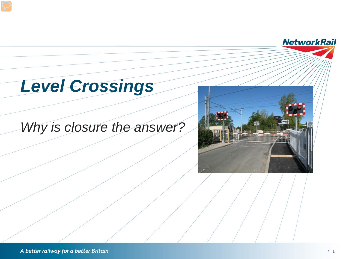# *Level Crossings*

### *Why is closure the answer?*



**NetworkRail**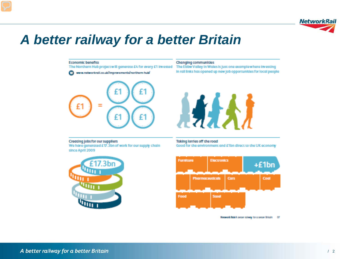

### A better railway for a better Britain

**Economic benefits** 

**R** 



www.networkrail.co.uk/improvements/northern-huts/

#### **Changing communities**

The Northern Hub project will generate £4 for every £1 invested The Ebbw Valley in Wales is just one example where investing In rail links has opened up new job opportunities for local people



Creating jobs for our suppliers We have generated £17.3bn of work for our supply chain since April 2009

Taking lorries off the road Good for the environment and £1bn direct to the UK economy





Necesch RobiA cecan raisery for a cecan Britain GT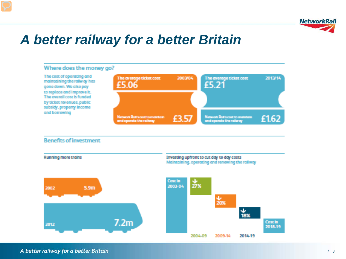

### *A better railway for a better Britain*



### A better railway for a better Britain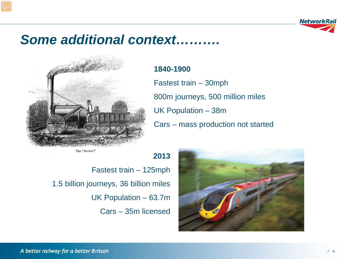

### *Some additional context……….*



### **1840-1900**

**2013**

Fastest train – 30mph 800m journeys, 500 million miles UK Population – 38m Cars – mass production not started

The "Rocket."

Fastest train – 125mph 1.5 billion journeys, 36 billion miles UK Population – 63.7m Cars – 35m licensed

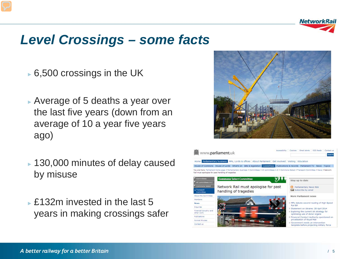

### *Level Crossings – some facts*

- $\overline{\phantom{0}}$  6,500 crossings in the UK
- ► Average of 5 deaths a year over the last five years (down from an average of 10 a year five years ago)
- ► 130,000 minutes of delay caused by misuse
- ► £132m invested in the last 5 years in making crossings safer



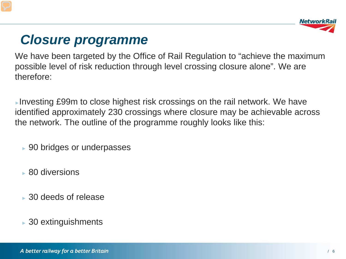

## *Closure programme*

We have been targeted by the Office of Rail Regulation to "achieve the maximum possible level of risk reduction through level crossing closure alone". We are therefore:

►Investing £99m to close highest risk crossings on the rail network. We have identified approximately 230 crossings where closure may be achievable across the network. The outline of the programme roughly looks like this:

- ► 90 bridges or underpasses
- ► 80 diversions
- ► 30 deeds of release
- $\rightarrow$  30 extinguishments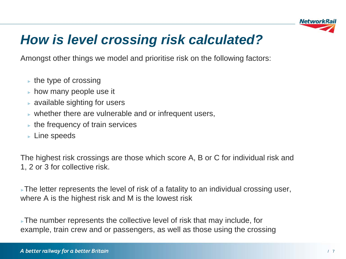

## *How is level crossing risk calculated?*

Amongst other things we model and prioritise risk on the following factors:

- $\blacktriangleright$  the type of crossing
- $\blacktriangleright$  how many people use it
- $\triangleright$  available sighting for users
- $\triangleright$  whether there are vulnerable and or infrequent users,
- $\blacktriangleright$  the frequency of train services
- ► Line speeds

The highest risk crossings are those which score A, B or C for individual risk and 1, 2 or 3 for collective risk.

►The letter represents the level of risk of a fatality to an individual crossing user, where A is the highest risk and M is the lowest risk

►The number represents the collective level of risk that may include, for example, train crew and or passengers, as well as those using the crossing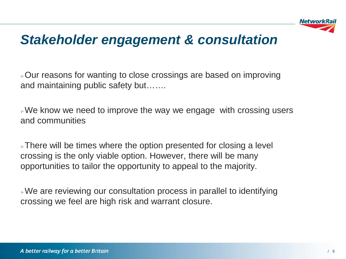

### *Stakeholder engagement & consultation*

►Our reasons for wanting to close crossings are based on improving and maintaining public safety but…….

 $\triangleright$  We know we need to improve the way we engage with crossing users and communities

►There will be times where the option presented for closing a level crossing is the only viable option. However, there will be many opportunities to tailor the opportunity to appeal to the majority.

►We are reviewing our consultation process in parallel to identifying crossing we feel are high risk and warrant closure.